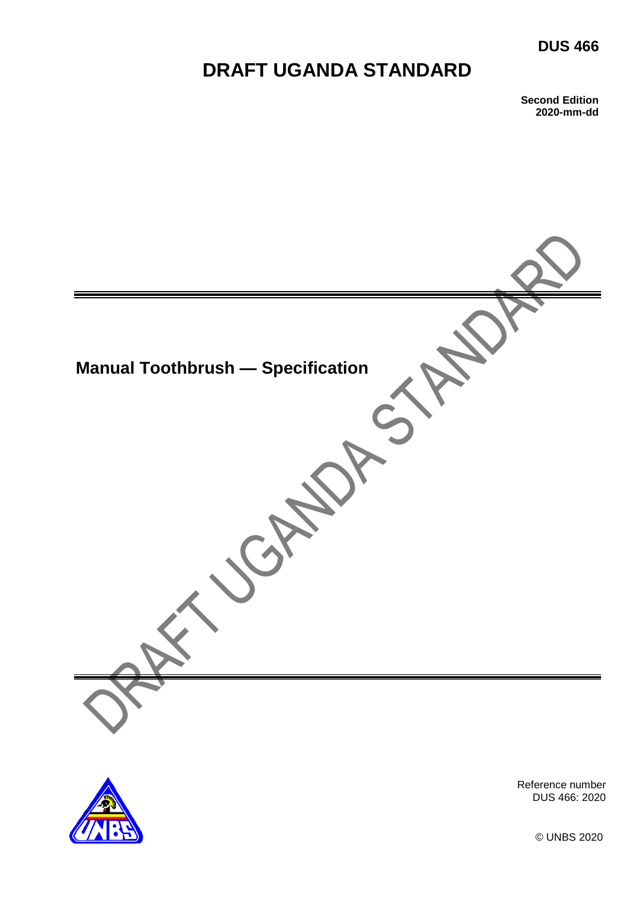# **DUS 466**

# **DRAFT UGANDA STANDARD**

**Second Edition 2020-mm-dd**





Reference number DUS 466: 2020

© UNBS 2020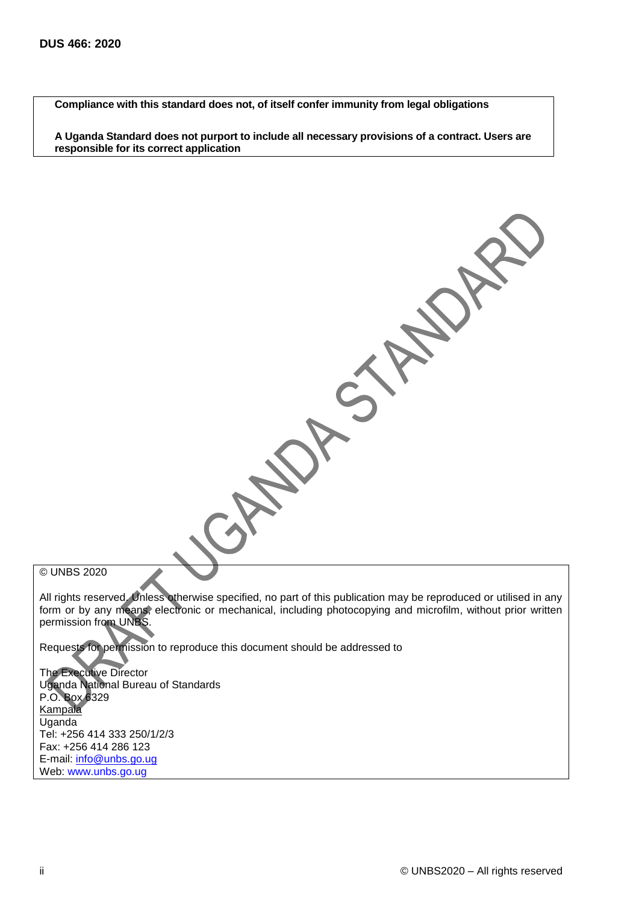**Compliance with this standard does not, of itself confer immunity from legal obligations**

**A Uganda Standard does not purport to include all necessary provisions of a contract. Users are responsible for its correct application**

© UNBS 2020

All rights reserved. Unless otherwise specified, no part of this publication may be reproduced or utilised in any form or by any means, electronic or mechanical, including photocopying and microfilm, without prior written permission from UNBS.

Requests for permission to reproduce this document should be addressed to

The Executive Director Uganda National Bureau of Standards P.O. Box 6329 Kampala Uganda Tel: +256 414 333 250/1/2/3 Fax: +256 414 286 123 E-mail: [info@unbs.go.ug](mailto:info@unbs.go.ug) Web: www.unbs.go.ug

DA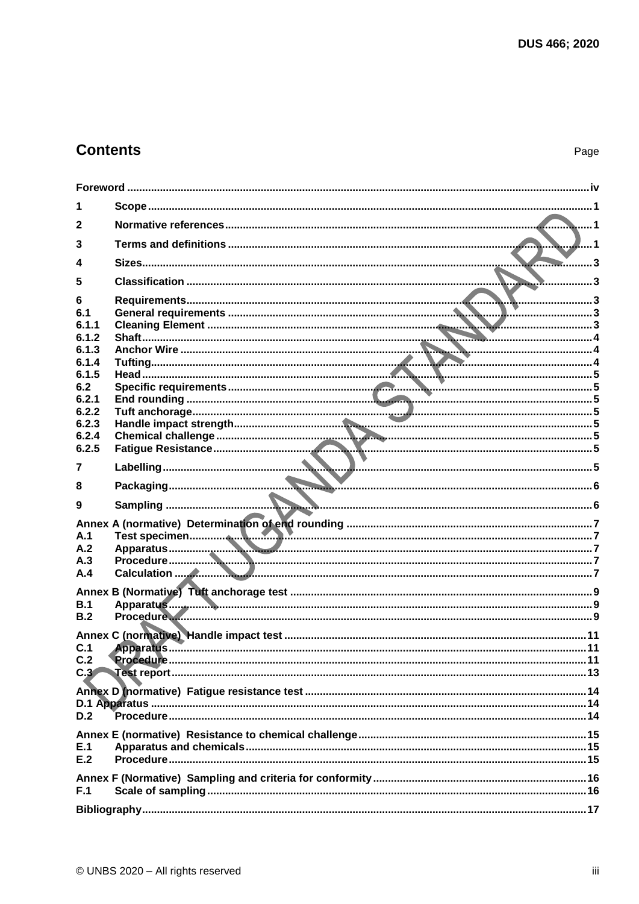# **Contents**

| 1                |  |
|------------------|--|
| $\mathbf{2}$     |  |
| 3                |  |
| 4                |  |
| 5                |  |
| 6                |  |
| 6.1              |  |
| 6.1.1            |  |
| 6.1.2            |  |
| 6.1.3            |  |
| 6.1.4            |  |
| 6.1.5            |  |
| 6.2              |  |
| 6.2.1<br>6.2.2   |  |
| 6.2.3            |  |
| 6.2.4            |  |
| 6.2.5            |  |
|                  |  |
| 7                |  |
| 8                |  |
| 9                |  |
|                  |  |
| A.1              |  |
| A.2              |  |
| A.3              |  |
| A.4              |  |
|                  |  |
| B.1              |  |
| B.2              |  |
|                  |  |
| C.1              |  |
| C.2              |  |
| C.3 <sub>o</sub> |  |
|                  |  |
|                  |  |
| D.2              |  |
|                  |  |
|                  |  |
| E.1<br>E.2       |  |
|                  |  |
|                  |  |
| F.1              |  |
|                  |  |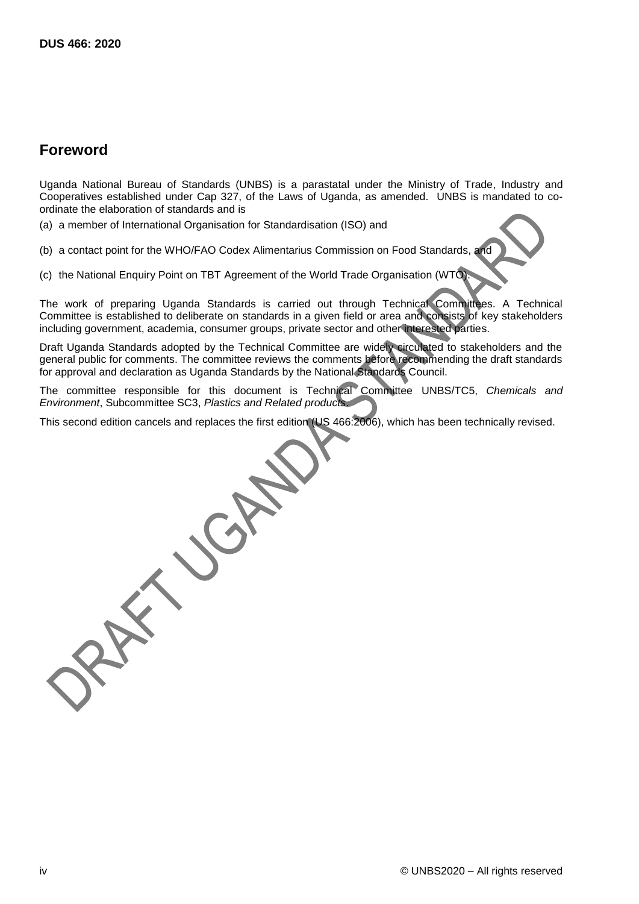## <span id="page-3-0"></span>**Foreword**

Uganda National Bureau of Standards (UNBS) is a parastatal under the Ministry of Trade, Industry and Cooperatives established under Cap 327, of the Laws of Uganda, as amended. UNBS is mandated to coordinate the elaboration of standards and is

(a) a member of International Organisation for Standardisation (ISO) and

(b) a contact point for the WHO/FAO Codex Alimentarius Commission on Food Standards, and

(c) the National Enquiry Point on TBT Agreement of the World Trade Organisation (WTO).

The work of preparing Uganda Standards is carried out through Technical Committees. A Technical Committee is established to deliberate on standards in a given field or area and consists of key stakeholders including government, academia, consumer groups, private sector and other interested parties.

Draft Uganda Standards adopted by the Technical Committee are widely circulated to stakeholders and the general public for comments. The committee reviews the comments before recommending the draft standards for approval and declaration as Uganda Standards by the National Standards Council.

The committee responsible for this document is Technical Committee UNBS/TC5, *Chemicals and Environment*, Subcommittee SC3, *Plastics and Related products*.

This second edition cancels and replaces the first edition (US 466:2006), which has been technically revised.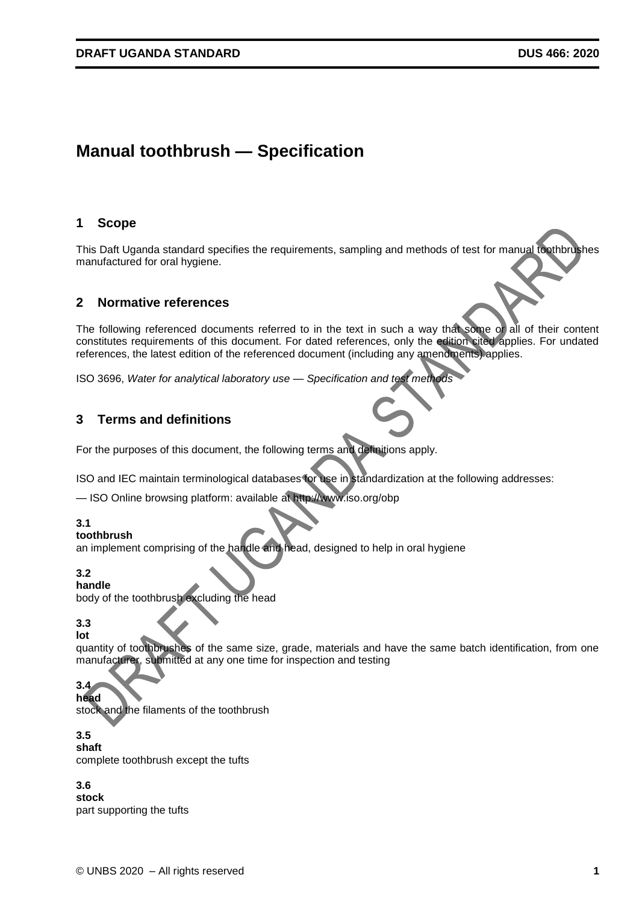# **Manual toothbrush — Specification**

#### <span id="page-4-0"></span>**1 Scope**

This Daft Uganda standard specifies the requirements, sampling and methods of test for manual toothbrushes manufactured for oral hygiene.

### <span id="page-4-1"></span>**2 Normative references**

The following referenced documents referred to in the text in such a way that some or all of their content constitutes requirements of this document. For dated references, only the edition cited applies. For undated references, the latest edition of the referenced document (including any amendments) applies.

ISO 3696, *Water for analytical laboratory use — Specification and test methods*

### <span id="page-4-2"></span>**3 Terms and definitions**

For the purposes of this document, the following terms and definitions apply.

ISO and IEC maintain terminological databases for use in standardization at the following addresses:

— ISO Online browsing platform: available at http://www.iso.org/obp

#### **3.1**

#### **toothbrush**

an implement comprising of the handle and head, designed to help in oral hygiene

#### **3.2**

**handle**

body of the toothbrush excluding the head

#### **3.3 lot**

quantity of toothbrushes of the same size, grade, materials and have the same batch identification, from one manufacturer, submitted at any one time for inspection and testing

#### **3.4 head**

stock and the filaments of the toothbrush

#### **3.5**

**shaft** complete toothbrush except the tufts

#### **3.6**

**stock** part supporting the tufts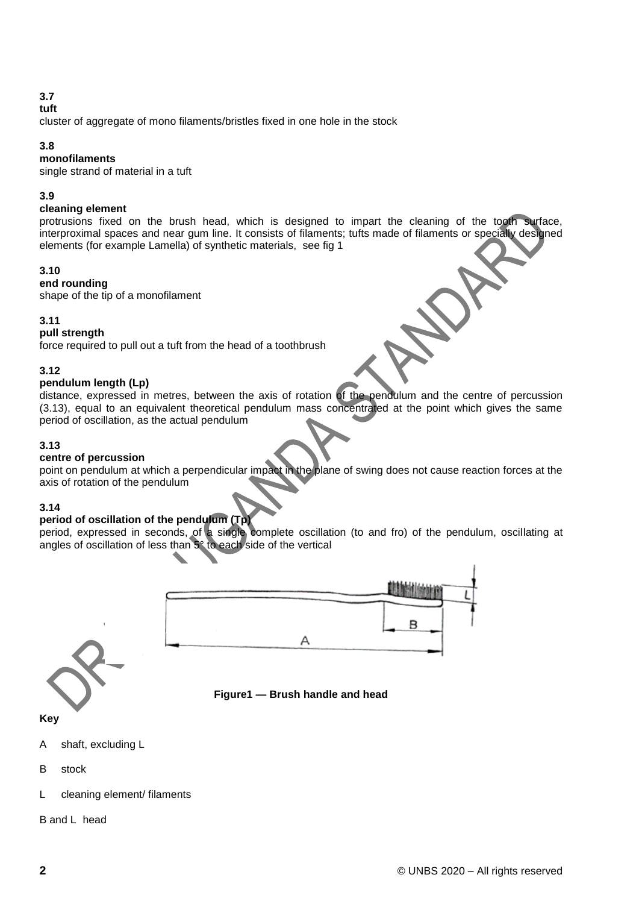### **3.7**

### **tuft**

cluster of aggregate of mono filaments/bristles fixed in one hole in the stock

#### **3.8**

#### **monofilaments**

single strand of material in a tuft

#### **3.9**

#### **cleaning element**

protrusions fixed on the brush head, which is designed to impart the cleaning of the tooth surface, interproximal spaces and near gum line. It consists of filaments; tufts made of filaments or specially designed elements (for example Lamella) of synthetic materials, see fig 1

#### **3.10**

**end rounding**

shape of the tip of a monofilament

#### **3.11**

#### **pull strength**

force required to pull out a tuft from the head of a toothbrush

#### **3.12**

#### **pendulum length (Lp)**

distance, expressed in metres, between the axis of rotation of the pendulum and the centre of percussion (3.13), equal to an equivalent theoretical pendulum mass concentrated at the point which gives the same period of oscillation, as the actual pendulum

#### **3.13**

#### **centre of percussion**

point on pendulum at which a perpendicular impact in the plane of swing does not cause reaction forces at the axis of rotation of the pendulum

#### **3.14**

#### **period of oscillation of the pendulum (Tp)**

period, expressed in seconds, of a single complete oscillation (to and fro) of the pendulum, oscillating at angles of oscillation of less than 5° to each side of the vertical





**Key**

- A shaft, excluding L
- B stock
- L cleaning element/ filaments

B and L head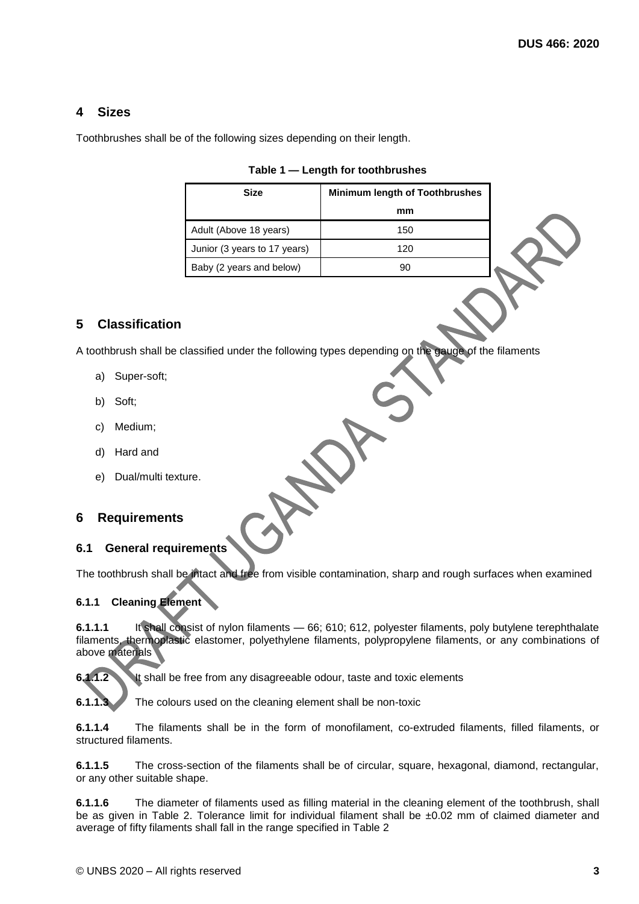### <span id="page-6-0"></span>**4 Sizes**

Toothbrushes shall be of the following sizes depending on their length.

| Size                         | <b>Minimum length of Toothbrushes</b> |  |
|------------------------------|---------------------------------------|--|
|                              | mm                                    |  |
| Adult (Above 18 years)       | 150                                   |  |
| Junior (3 years to 17 years) | 120                                   |  |
| Baby (2 years and below)     | 90                                    |  |

#### **Table 1 — Length for toothbrushes**

### <span id="page-6-1"></span>**5 Classification**

A toothbrush shall be classified under the following types depending on the gauge of the filaments

- a) Super-soft;
- b) Soft;
- c) Medium;
- d) Hard and
- e) Dual/multi texture.

#### <span id="page-6-2"></span>**6 Requirements**

#### <span id="page-6-3"></span>**6.1 General requirements**

The toothbrush shall be intact and free from visible contamination, sharp and rough surfaces when examined

#### <span id="page-6-4"></span>**6.1.1 Cleaning Element**

**6.1.1.1** It shall consist of nylon filaments — 66; 610; 612, polyester filaments, poly butylene terephthalate filaments, thermoplastic elastomer, polyethylene filaments, polypropylene filaments, or any combinations of above materials

**6.1.1.2** It shall be free from any disagreeable odour, taste and toxic elements

**6.1.1.3** The colours used on the cleaning element shall be non-toxic

**6.1.1.4** The filaments shall be in the form of monofilament, co-extruded filaments, filled filaments, or structured filaments.

**6.1.1.5** The cross-section of the filaments shall be of circular, square, hexagonal, diamond, rectangular, or any other suitable shape.

**6.1.1.6** The diameter of filaments used as filling material in the cleaning element of the toothbrush, shall be as given in Table 2. Tolerance limit for individual filament shall be ±0.02 mm of claimed diameter and average of fifty filaments shall fall in the range specified in Table 2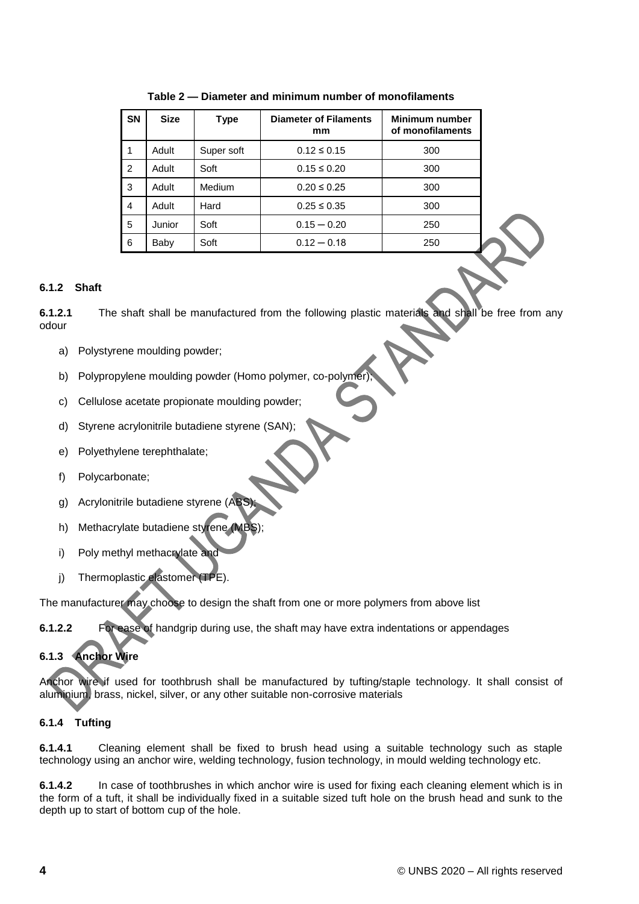| <b>SN</b>      | <b>Size</b> | Type       | <b>Diameter of Filaments</b><br>mm | Minimum number<br>of monofilaments |
|----------------|-------------|------------|------------------------------------|------------------------------------|
| 1              | Adult       | Super soft | $0.12 \le 0.15$                    | 300                                |
| $\overline{2}$ | Adult       | Soft       | $0.15 \le 0.20$                    | 300                                |
| 3              | Adult       | Medium     | $0.20 \le 0.25$                    | 300                                |
| $\overline{4}$ | Adult       | Hard       | $0.25 \le 0.35$                    | 300                                |
| 5              | Junior      | Soft       | $0.15 - 0.20$                      | 250                                |
| 6              | Baby        | Soft       | $0.12 - 0.18$                      | 250                                |

**Table 2 — Diameter and minimum number of monofilaments**

#### <span id="page-7-0"></span>**6.1.2 Shaft**

**6.1.2.1** The shaft shall be manufactured from the following plastic materials and shall be free from any odour

- a) Polystyrene moulding powder;
- b) Polypropylene moulding powder (Homo polymer, co-polymer)
- c) Cellulose acetate propionate moulding powder;
- d) Styrene acrylonitrile butadiene styrene (SAN);
- e) Polyethylene terephthalate;
- f) Polycarbonate;
- g) Acrylonitrile butadiene styrene (ABS);
- h) Methacrylate butadiene styrene (MBS);
- i) Poly methyl methacrylate and
- j) Thermoplastic elastomer (TPE).

The manufacturer may choose to design the shaft from one or more polymers from above list

**6.1.2.2** For ease of handgrip during use, the shaft may have extra indentations or appendages

### <span id="page-7-1"></span>**6.1.3 Anchor Wire**

Anchor wire if used for toothbrush shall be manufactured by tufting/staple technology. It shall consist of aluminium, brass, nickel, silver, or any other suitable non-corrosive materials

#### <span id="page-7-2"></span>**6.1.4 Tufting**

**6.1.4.1** Cleaning element shall be fixed to brush head using a suitable technology such as staple technology using an anchor wire, welding technology, fusion technology, in mould welding technology etc.

**6.1.4.2** In case of toothbrushes in which anchor wire is used for fixing each cleaning element which is in the form of a tuft, it shall be individually fixed in a suitable sized tuft hole on the brush head and sunk to the depth up to start of bottom cup of the hole.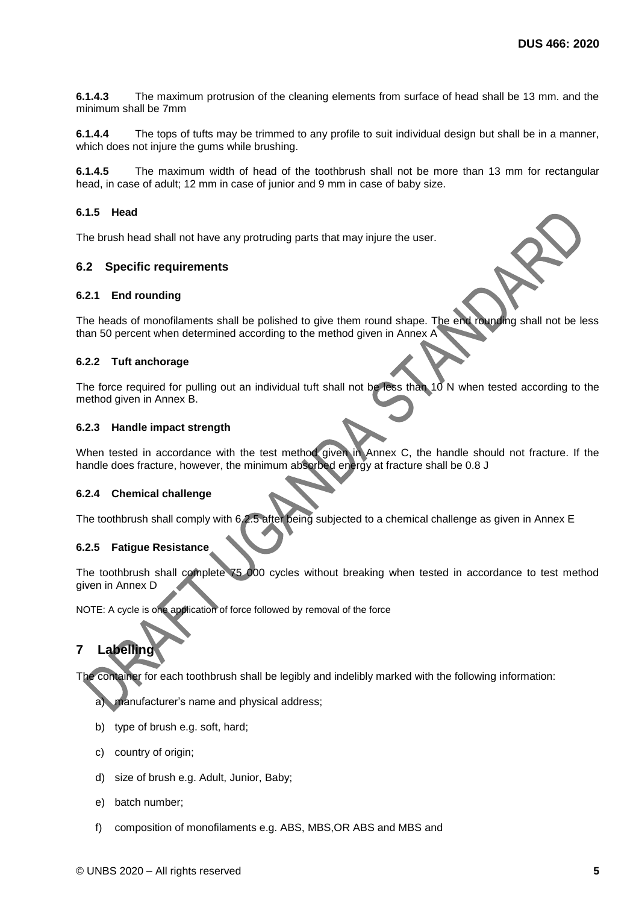**6.1.4.3** The maximum protrusion of the cleaning elements from surface of head shall be 13 mm. and the minimum shall be 7mm

**6.1.4.4** The tops of tufts may be trimmed to any profile to suit individual design but shall be in a manner, which does not injure the gums while brushing.

**6.1.4.5** The maximum width of head of the toothbrush shall not be more than 13 mm for rectangular head, in case of adult; 12 mm in case of junior and 9 mm in case of baby size.

#### <span id="page-8-0"></span>**6.1.5 Head**

The brush head shall not have any protruding parts that may injure the user.

#### <span id="page-8-1"></span>**6.2 Specific requirements**

#### <span id="page-8-2"></span>**6.2.1 End rounding**

The heads of monofilaments shall be polished to give them round shape. The end rounding shall not be less than 50 percent when determined according to the method given in Annex A

#### <span id="page-8-3"></span>**6.2.2 Tuft anchorage**

The force required for pulling out an individual tuft shall not be less than 10 N when tested according to the method given in Annex B.

#### <span id="page-8-4"></span>**6.2.3 Handle impact strength**

When tested in accordance with the test method given in Annex C, the handle should not fracture. If the handle does fracture, however, the minimum absorbed energy at fracture shall be 0.8 J

#### <span id="page-8-5"></span>**6.2.4 Chemical challenge**

The toothbrush shall comply with 6.2.5 after being subjected to a chemical challenge as given in Annex E

#### <span id="page-8-6"></span>**6.2.5 Fatigue Resistance**

The toothbrush shall complete 75 000 cycles without breaking when tested in accordance to test method given in Annex D

NOTE: A cycle is one application of force followed by removal of the force

### <span id="page-8-7"></span>**7 Labelling**

The container for each toothbrush shall be legibly and indelibly marked with the following information:

a) manufacturer's name and physical address;

- b) type of brush e.g. soft, hard;
- c) country of origin;
- d) size of brush e.g. Adult, Junior, Baby;
- e) batch number;
- f) composition of monofilaments e.g. ABS, MBS,OR ABS and MBS and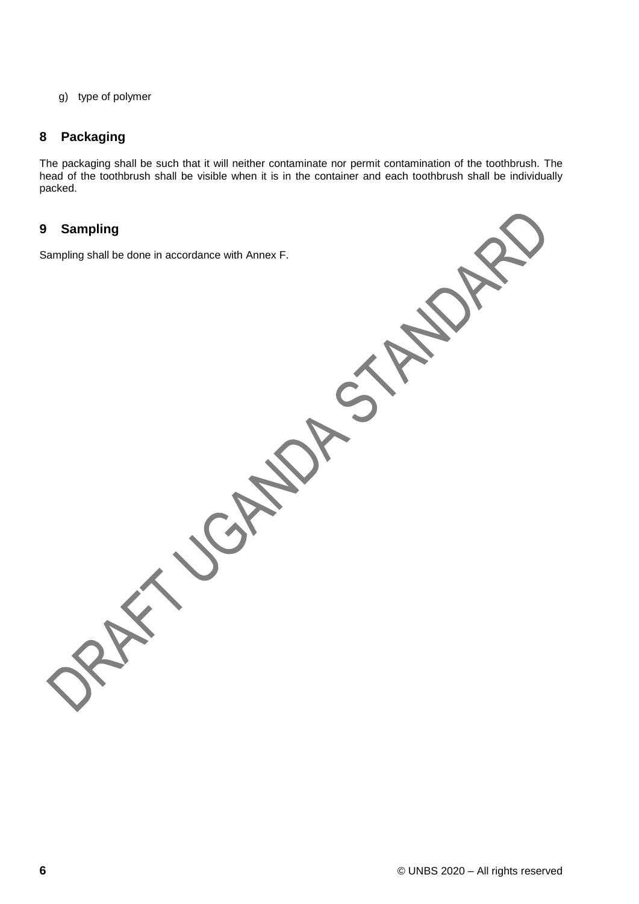g) type of polymer

### <span id="page-9-0"></span>**8 Packaging**

The packaging shall be such that it will neither contaminate nor permit contamination of the toothbrush. The head of the toothbrush shall be visible when it is in the container and each toothbrush shall be individually packed.

### <span id="page-9-1"></span>**9 Sampling**

Sampling shall be done in accordance with Annex F.

CH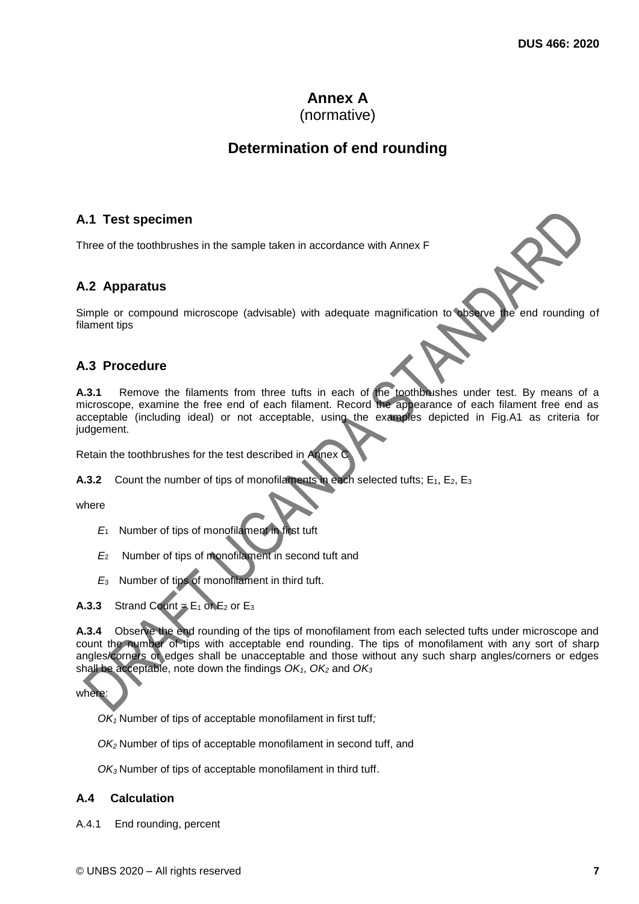# **Annex A**

### (normative)

# **Determination of end rounding**

### <span id="page-10-1"></span><span id="page-10-0"></span>**A.1 Test specimen**

Three of the toothbrushes in the sample taken in accordance with Annex F

### <span id="page-10-2"></span>**A.2 Apparatus**

Simple or compound microscope (advisable) with adequate magnification to observe the end rounding of filament tips

### <span id="page-10-3"></span>**A.3 Procedure**

**A.3.1** Remove the filaments from three tufts in each of the toothbrushes under test. By means of a microscope, examine the free end of each filament. Record the appearance of each filament free end as acceptable (including ideal) or not acceptable, using the examples depicted in Fig.A1 as criteria for judgement.

Retain the toothbrushes for the test described in Annex C

**A.3.2** Count the number of tips of monofilaments in each selected tufts;  $E_1$ ,  $E_2$ ,  $E_3$ 

where

- *E*<sup>1</sup> Number of tips of monofilament in first tuft
- *E*<sup>2</sup> Number of tips of monofilament in second tuft and
- *E*<sup>3</sup> Number of tips of monofilament in third tuft.
- **A.3.3** Strand Count  $=$  E<sub>1</sub> or E<sub>2</sub> or E<sub>3</sub>

**A.3.4** Observe the end rounding of the tips of monofilament from each selected tufts under microscope and count the number of tips with acceptable end rounding. The tips of monofilament with any sort of sharp angles/corners or edges shall be unacceptable and those without any such sharp angles/corners or edges shall be acceptable, note down the findings *OK1*, *OK<sup>2</sup>* and *OK<sup>3</sup>*

where:

*OK<sup>1</sup>* Number of tips of acceptable monofilament in first tuff*;*

*OK<sup>2</sup>* Number of tips of acceptable monofilament in second tuff, and

*OK<sup>3</sup>* Number of tips of acceptable monofilament in third tuff.

#### <span id="page-10-4"></span>**A.4 Calculation**

A.4.1 End rounding, percent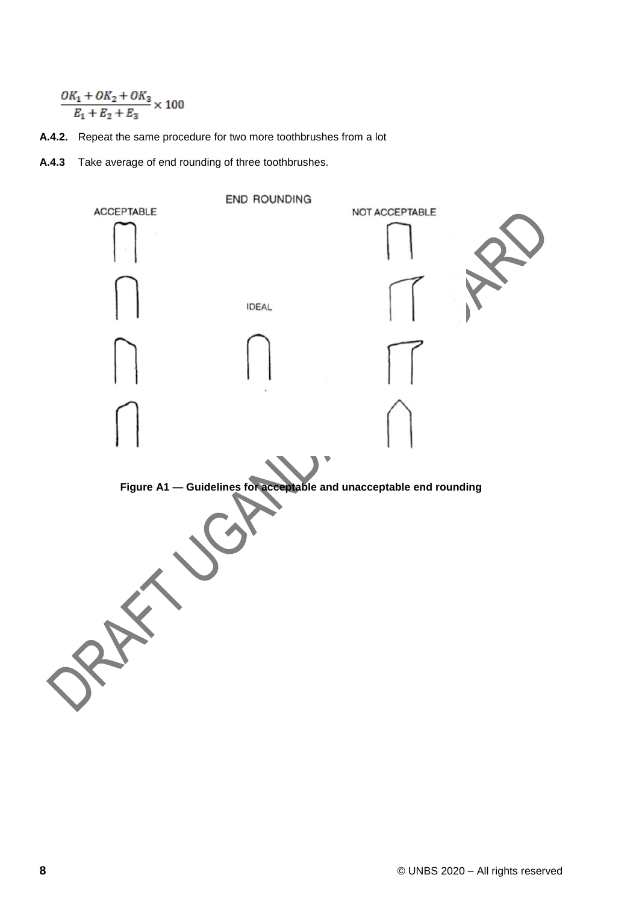$$
\frac{OK_1 + OK_2 + OK_3}{E_1 + E_2 + E_3} \times 100
$$

- **A.4.2.** Repeat the same procedure for two more toothbrushes from a lot
- **A.4.3** Take average of end rounding of three toothbrushes.

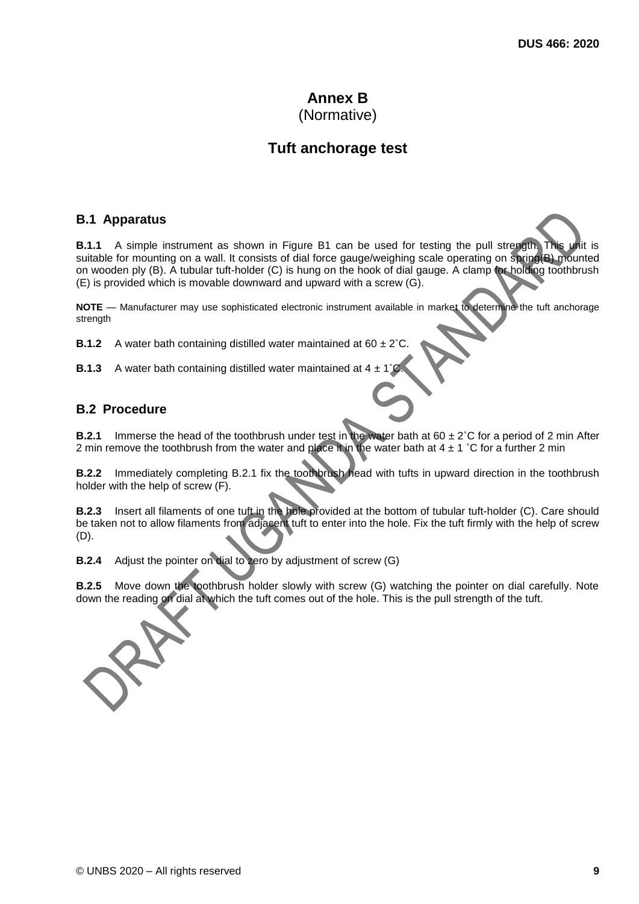### **Annex B** (Normative)

# **Tuft anchorage test**

#### <span id="page-12-1"></span><span id="page-12-0"></span>**B.1 Apparatus**

**B.1.1** A simple instrument as shown in Figure B1 can be used for testing the pull strength. This unit is suitable for mounting on a wall. It consists of dial force gauge/weighing scale operating on spring(B) mounted on wooden ply (B). A tubular tuft-holder (C) is hung on the hook of dial gauge. A clamp for holding toothbrush (E) is provided which is movable downward and upward with a screw (G).

**NOTE** — Manufacturer may use sophisticated electronic instrument available in market to determine the tuft anchorage strength

**B.1.2** A water bath containing distilled water maintained at 60  $\pm 2^{\circ}$ 

**B.1.3** A water bath containing distilled water maintained at  $4 \pm 1$ 

### <span id="page-12-2"></span>**B.2 Procedure**

**B.2.1** Immerse the head of the toothbrush under test in the water bath at 60  $\pm$  2°C for a period of 2 min After 2 min remove the toothbrush from the water and place it in the water bath at  $4 \pm 1$  °C for a further 2 min

**B.2.2** Immediately completing B.2.1 fix the toothbrush head with tufts in upward direction in the toothbrush holder with the help of screw (F).

**B.2.3** Insert all filaments of one tuft in the hole provided at the bottom of tubular tuft-holder (C). Care should be taken not to allow filaments from adjacent tuft to enter into the hole. Fix the tuft firmly with the help of screw (D).

**B.2.4** Adjust the pointer on dial to zero by adjustment of screw (G)

**B.2.5** Move down the toothbrush holder slowly with screw (G) watching the pointer on dial carefully. Note down the reading on dial at which the tuft comes out of the hole. This is the pull strength of the tuft.

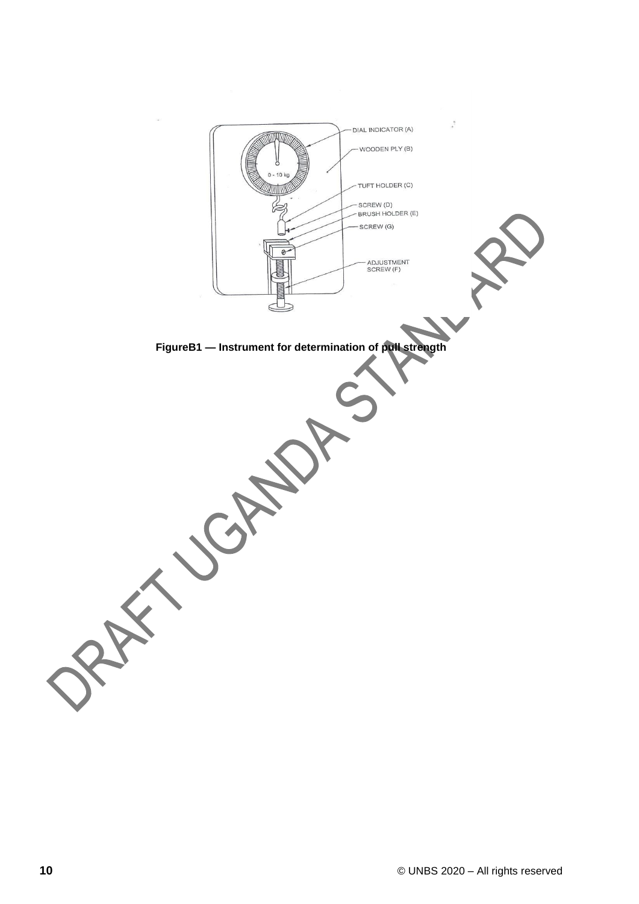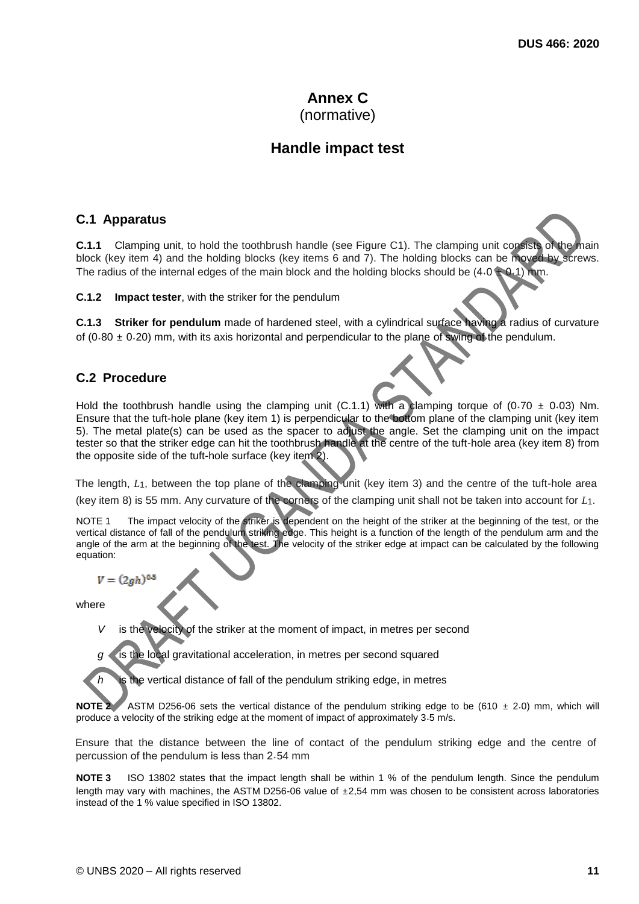### **Annex C** (normative)

# **Handle impact test**

### <span id="page-14-1"></span><span id="page-14-0"></span>**C.1 Apparatus**

**C.1.1** Clamping unit, to hold the toothbrush handle (see Figure C1). The clamping unit consists of the main block (key item 4) and the holding blocks (key items 6 and 7). The holding blocks can be moved by screws. The radius of the internal edges of the main block and the holding blocks should be  $(4.0 \pm 0.1)$  mm.

**C.1.2 Impact tester**, with the striker for the pendulum

**C.1.3 Striker for pendulum** made of hardened steel, with a cylindrical surface having a radius of curvature of (0.80  $\pm$  0.20) mm, with its axis horizontal and perpendicular to the plane of swing of the pendulum.

### <span id="page-14-2"></span>**C.2 Procedure**

Hold the toothbrush handle using the clamping unit (C.1.1) with a clamping torque of (0.70  $\pm$  0.03) Nm. Ensure that the tuft-hole plane (key item 1) is perpendicular to the bottom plane of the clamping unit (key item 5). The metal plate(s) can be used as the spacer to adjust the angle. Set the clamping unit on the impact tester so that the striker edge can hit the toothbrush handle at the centre of the tuft-hole area (key item 8) from the opposite side of the tuft-hole surface (key item 2).

The length,  $L_1$ , between the top plane of the clamping unit (key item 3) and the centre of the tuft-hole area (key item 8) is 55 mm. Any curvature of the corners of the clamping unit shall not be taken into account for *L*1.

The impact velocity of the striker is dependent on the height of the striker at the beginning of the test, or the vertical distance of fall of the pendulum striking edge. This height is a function of the length of the pendulum arm and the angle of the arm at the beginning of the test. The velocity of the striker edge at impact can be calculated by the following equation:

 $V = (2gh)^{0.5}$ 

where

*is the velocity of the striker at the moment of impact, in metres per second* 

*g* is the local gravitational acceleration, in metres per second squared

the vertical distance of fall of the pendulum striking edge, in metres

**NOTE 2** ASTM D256-06 sets the vertical distance of the pendulum striking edge to be (610  $\pm$  2.0) mm, which will produce a velocity of the striking edge at the moment of impact of approximately 3.5 m/s.

Ensure that the distance between the line of contact of the pendulum striking edge and the centre of percussion of the pendulum is less than 2.54 mm

**NOTE 3** ISO 13802 states that the impact length shall be within 1 % of the pendulum length. Since the pendulum length may vary with machines, the ASTM D256-06 value of ±2,54 mm was chosen to be consistent across laboratories instead of the 1 % value specified in ISO 13802.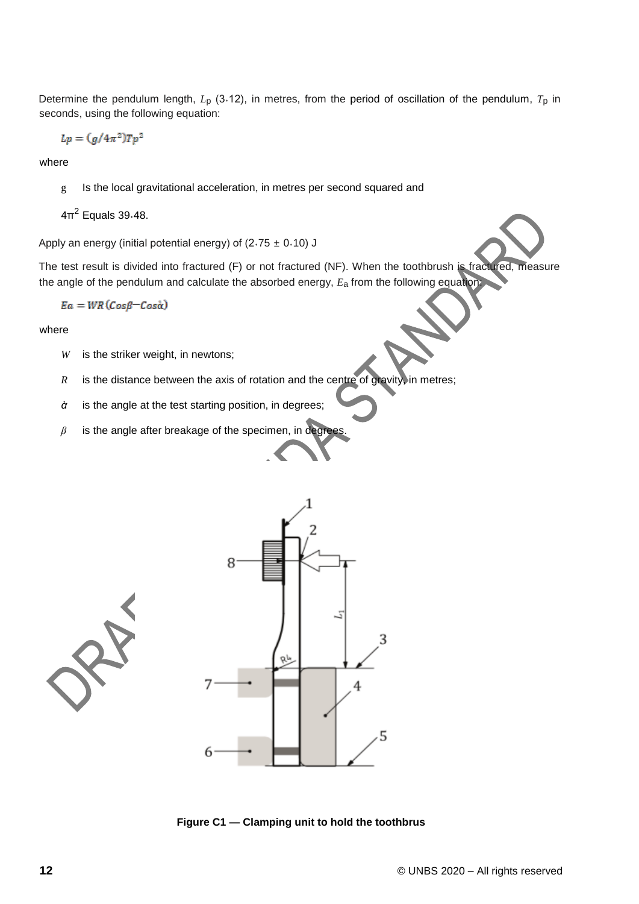Determine the pendulum length, *L*p (3˖12), in metres, from the period of oscillation of the pendulum, *T*p in seconds, using the following equation:

 $Lp = (g/4\pi^2)Tp^2$ 

where

g Is the local gravitational acceleration, in metres per second squared and

 $4\pi^2$  Equals 39 $.48$ .

Apply an energy (initial potential energy) of  $(2.75 \pm 0.10)$  J

The test result is divided into fractured (F) or not fractured (NF). When the toothbrush is fractured, measure the angle of the pendulum and calculate the absorbed energy, *E*a from the following equation:

$$
Ea = WR\left(Cos\beta - Cos\alpha\right)
$$

where

- *W* is the striker weight, in newtons;
- *R* is the distance between the axis of rotation and the centre of gravity, in metres;
- *ὰ* is the angle at the test starting position, in degrees;
- *β* is the angle after breakage of the specimen, in degrees.





**Figure C1 — Clamping unit to hold the toothbrus**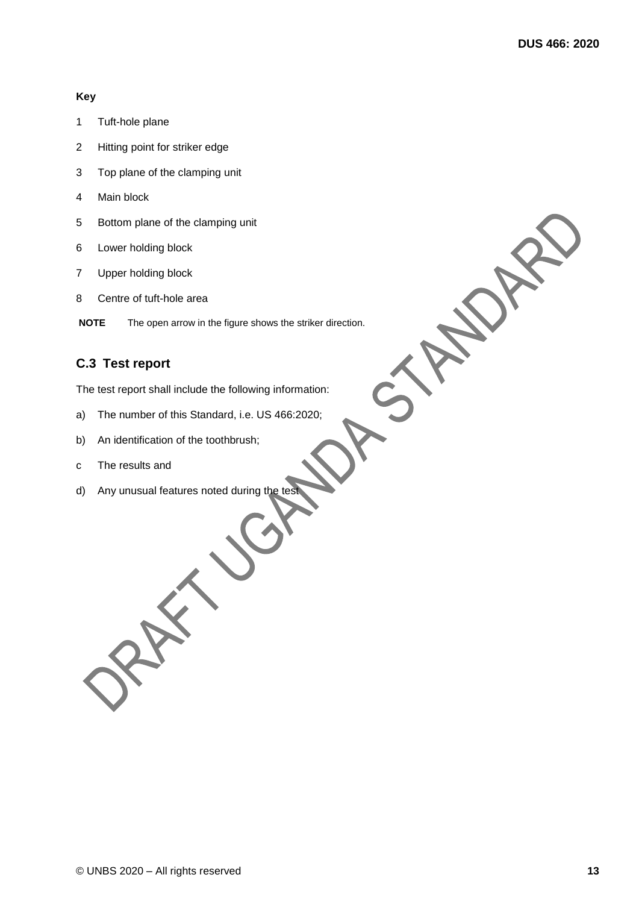#### **Key**

- 1 Tuft-hole plane
- 2 Hitting point for striker edge
- 3 Top plane of the clamping unit
- 4 Main block
- 5 Bottom plane of the clamping unit
- 6 Lower holding block
- 7 Upper holding block
- 8 Centre of tuft-hole area

**NOTE** The open arrow in the figure shows the striker direction.

### <span id="page-16-0"></span>**C.3 Test report**

The test report shall include the following information:

- a) The number of this Standard, i.e. US 466:2020;
- b) An identification of the toothbrush;
- c The results and
- d) Any unusual features noted during the test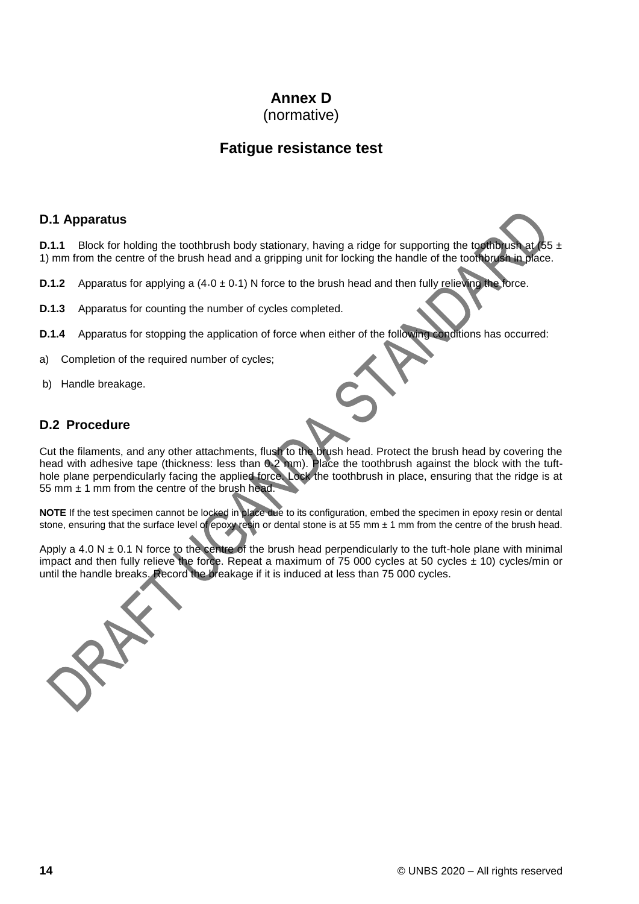# **Annex D**

(normative)

## **Fatigue resistance test**

### <span id="page-17-1"></span><span id="page-17-0"></span>**D.1 Apparatus**

**D.1.1** Block for holding the toothbrush body stationary, having a ridge for supporting the toothbrush at (55 ± 1) mm from the centre of the brush head and a gripping unit for locking the handle of the toothbrush in place.

- **D.1.2** Apparatus for applying a  $(4.0 \pm 0.1)$  N force to the brush head and then fully relieving the force.
- **D.1.3** Apparatus for counting the number of cycles completed.
- **D.1.4** Apparatus for stopping the application of force when either of the following conditions has occurred:
- a) Completion of the required number of cycles;
- b) Handle breakage.

### <span id="page-17-2"></span>**D.2 Procedure**

Cut the filaments, and any other attachments, flush to the brush head. Protect the brush head by covering the head with adhesive tape (thickness: less than 0.2 mm). Place the toothbrush against the block with the tufthole plane perpendicularly facing the applied force. Lock the toothbrush in place, ensuring that the ridge is at 55 mm  $\pm$  1 mm from the centre of the brush head.

**NOTE** If the test specimen cannot be locked in place due to its configuration, embed the specimen in epoxy resin or dental stone, ensuring that the surface level of epoxy resin or dental stone is at 55 mm  $\pm$  1 mm from the centre of the brush head.

Apply a 4.0 N  $\pm$  0.1 N force to the centre of the brush head perpendicularly to the tuft-hole plane with minimal impact and then fully relieve the force. Repeat a maximum of 75 000 cycles at 50 cycles  $\pm$  10) cycles/min or until the handle breaks. Record the breakage if it is induced at less than 75 000 cycles.

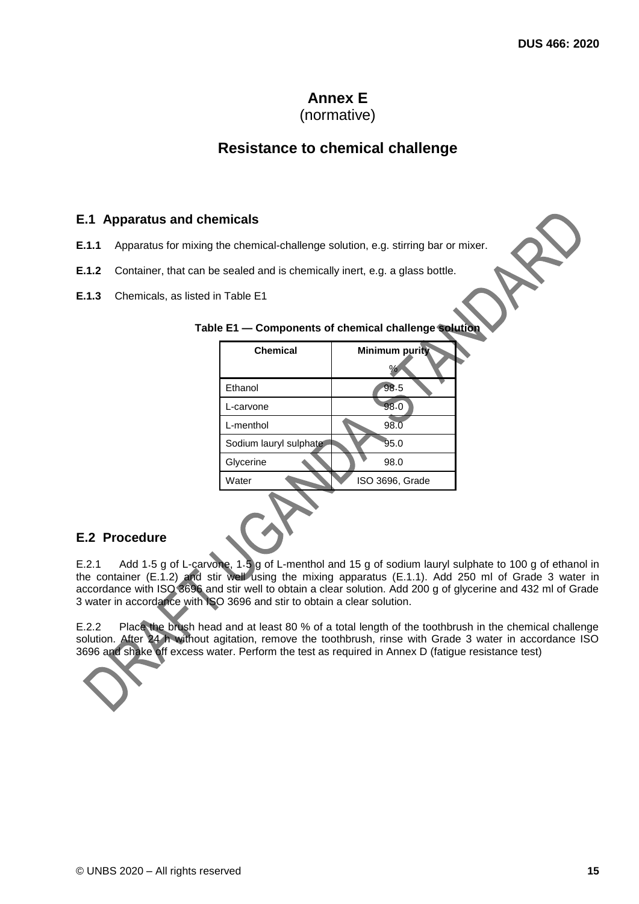### **Annex E** (normative)

# **Resistance to chemical challenge**

### <span id="page-18-1"></span><span id="page-18-0"></span>**E.1 Apparatus and chemicals**

- **E.1.1** Apparatus for mixing the chemical-challenge solution, e.g. stirring bar or mixer.
- **E.1.2** Container, that can be sealed and is chemically inert, e.g. a glass bottle.
- **E.1.3** Chemicals, as listed in Table E1

| <b>Chemical</b>        | <b>Minimum purity</b><br>℅ |
|------------------------|----------------------------|
| Ethanol                | 98.5                       |
| L-carvone              | 98.0                       |
| L-menthol              | 98.0                       |
| Sodium lauryl sulphate | 95.0                       |
| Glycerine              | 98.0                       |
| Water                  | ISO 3696, Grade            |
|                        |                            |

### **Table E1 — Components of chemical challenge solution**

#### <span id="page-18-2"></span>**E.2 Procedure**

E.2.1 Add 1.5 g of L-carvone, 1.5 g of L-menthol and 15 g of sodium lauryl sulphate to 100 g of ethanol in the container (E.1.2) and stir well using the mixing apparatus (E.1.1). Add 250 ml of Grade 3 water in accordance with ISO 3696 and stir well to obtain a clear solution. Add 200 g of glycerine and 432 ml of Grade 3 water in accordance with ISO 3696 and stir to obtain a clear solution.

E.2.2 Place the brush head and at least 80 % of a total length of the toothbrush in the chemical challenge solution. After 24 h without agitation, remove the toothbrush, rinse with Grade 3 water in accordance ISO 3696 and shake off excess water. Perform the test as required in Annex D (fatigue resistance test)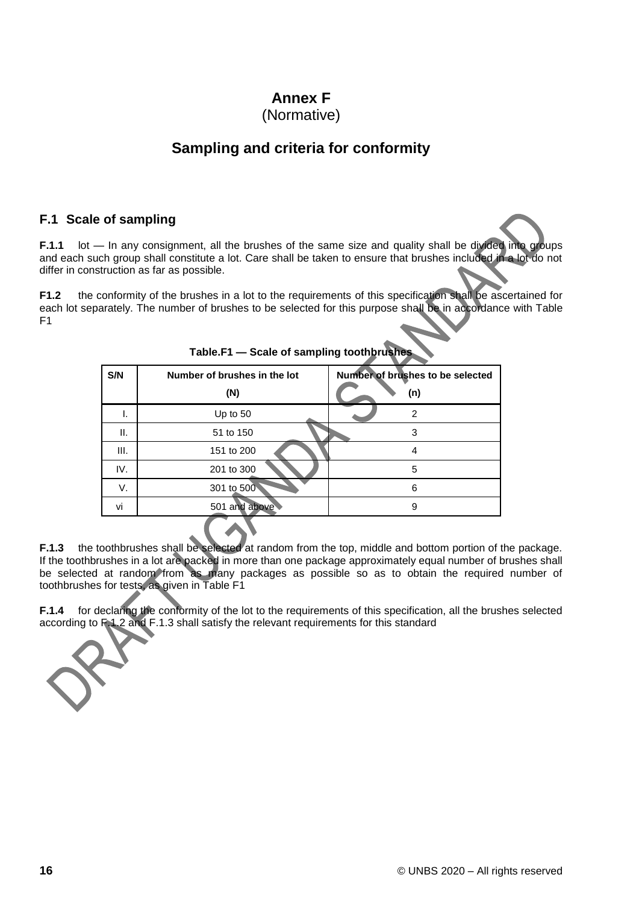# **Annex F**

### (Normative)

# **Sampling and criteria for conformity**

### <span id="page-19-1"></span><span id="page-19-0"></span>**F.1 Scale of sampling**

**F.1.1** lot — In any consignment, all the brushes of the same size and quality shall be divided into groups and each such group shall constitute a lot. Care shall be taken to ensure that brushes included in a lot do not differ in construction as far as possible.

**F1.2** the conformity of the brushes in a lot to the requirements of this specification shall be ascertained for each lot separately. The number of brushes to be selected for this purpose shall be in accordance with Table F1

| S/N  | Number of brushes in the lot<br>(N) | Number of brushes to be selected<br>(n) |
|------|-------------------------------------|-----------------------------------------|
| ı.   | Up to 50                            | 2                                       |
| н.   | 51 to 150                           | 3                                       |
| III. | 151 to 200                          | 4                                       |
| IV.  | 201 to 300                          | 5                                       |
| V.   | 301 to 500                          | 6                                       |
| vi   | 501 and above                       | 9                                       |
|      |                                     |                                         |

**Table.F1 — Scale of sampling toothbrushes**

**F.1.3** the toothbrushes shall be selected at random from the top, middle and bottom portion of the package. If the toothbrushes in a lot are packed in more than one package approximately equal number of brushes shall be selected at random from as many packages as possible so as to obtain the required number of toothbrushes for tests, as given in Table F1

**F.1.4** for declaring the conformity of the lot to the requirements of this specification, all the brushes selected according to F.1.2 and F.1.3 shall satisfy the relevant requirements for this standard

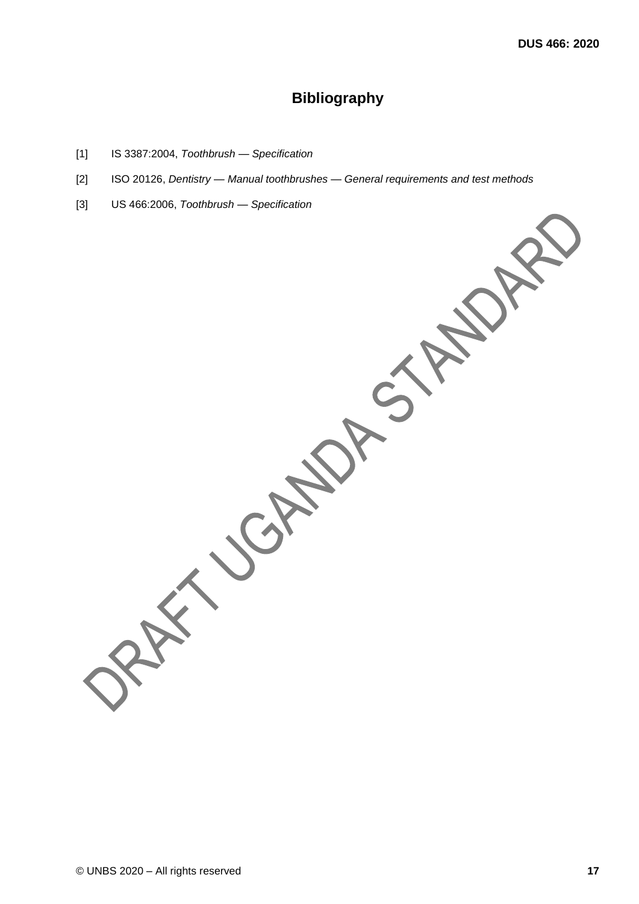# **Bibliography**

- <span id="page-20-0"></span>[1] IS 3387:2004, *Toothbrush — Specification*
- [2] ISO 20126, *Dentistry — Manual toothbrushes — General requirements and test methods*
- [3] US 466:2006, *Toothbrush — Specification*

JEN.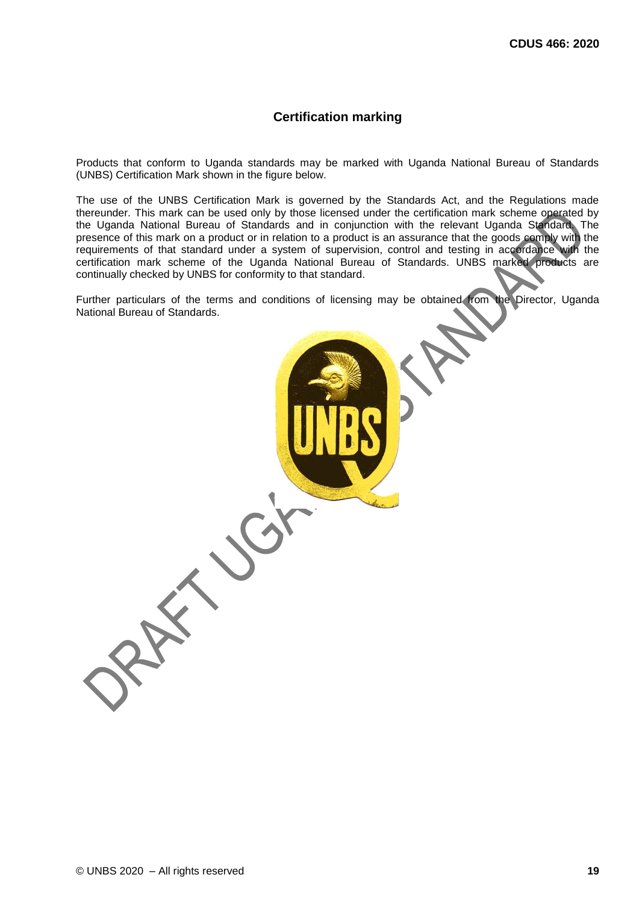#### **Certification marking**

Products that conform to Uganda standards may be marked with Uganda National Bureau of Standards (UNBS) Certification Mark shown in the figure below.

The use of the UNBS Certification Mark is governed by the Standards Act, and the Regulations made thereunder. This mark can be used only by those licensed under the certification mark scheme operated by the Uganda National Bureau of Standards and in conjunction with the relevant Uganda Standard. The presence of this mark on a product or in relation to a product is an assurance that the goods comply with the requirements of that standard under a system of supervision, control and testing in accordance with the certification mark scheme of the Uganda National Bureau of Standards. UNBS marked products are continually checked by UNBS for conformity to that standard.

Further particulars of the terms and conditions of licensing may be obtained from the Director, Uganda National Bureau of Standards.